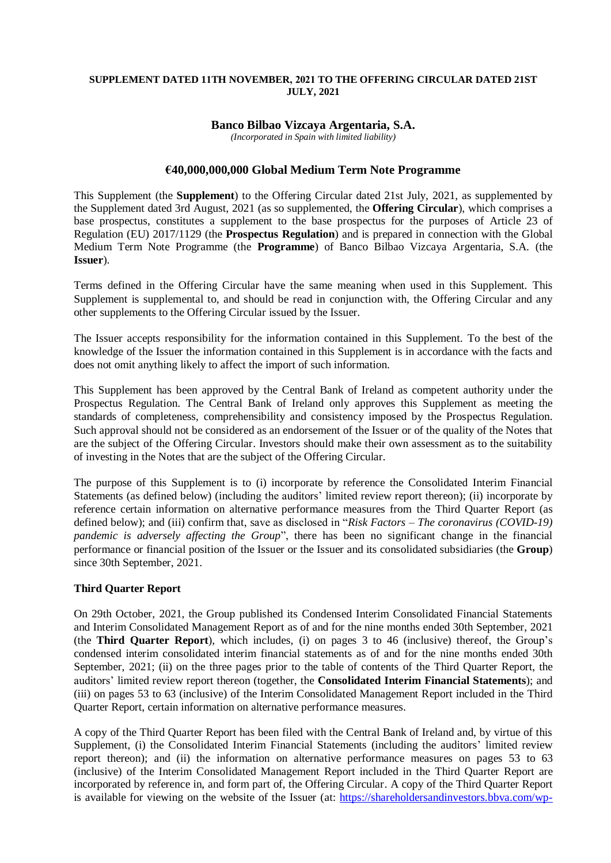#### **SUPPLEMENT DATED 11TH NOVEMBER, 2021 TO THE OFFERING CIRCULAR DATED 21ST JULY, 2021**

### **Banco Bilbao Vizcaya Argentaria, S.A.**

*(Incorporated in Spain with limited liability)*

## **€40,000,000,000 Global Medium Term Note Programme**

This Supplement (the **Supplement**) to the Offering Circular dated 21st July, 2021, as supplemented by the Supplement dated 3rd August, 2021 (as so supplemented, the **Offering Circular**), which comprises a base prospectus, constitutes a supplement to the base prospectus for the purposes of Article 23 of Regulation (EU) 2017/1129 (the **Prospectus Regulation**) and is prepared in connection with the Global Medium Term Note Programme (the **Programme**) of Banco Bilbao Vizcaya Argentaria, S.A. (the **Issuer**).

Terms defined in the Offering Circular have the same meaning when used in this Supplement. This Supplement is supplemental to, and should be read in conjunction with, the Offering Circular and any other supplements to the Offering Circular issued by the Issuer.

The Issuer accepts responsibility for the information contained in this Supplement. To the best of the knowledge of the Issuer the information contained in this Supplement is in accordance with the facts and does not omit anything likely to affect the import of such information.

This Supplement has been approved by the Central Bank of Ireland as competent authority under the Prospectus Regulation. The Central Bank of Ireland only approves this Supplement as meeting the standards of completeness, comprehensibility and consistency imposed by the Prospectus Regulation. Such approval should not be considered as an endorsement of the Issuer or of the quality of the Notes that are the subject of the Offering Circular. Investors should make their own assessment as to the suitability of investing in the Notes that are the subject of the Offering Circular.

The purpose of this Supplement is to (i) incorporate by reference the Consolidated Interim Financial Statements (as defined below) (including the auditors' limited review report thereon); (ii) incorporate by reference certain information on alternative performance measures from the Third Quarter Report (as defined below); and (iii) confirm that, save as disclosed in "*Risk Factors – The coronavirus (COVID-19) pandemic is adversely affecting the Group*", there has been no significant change in the financial performance or financial position of the Issuer or the Issuer and its consolidated subsidiaries (the **Group**) since 30th September, 2021.

### **Third Quarter Report**

On 29th October, 2021, the Group published its Condensed Interim Consolidated Financial Statements and Interim Consolidated Management Report as of and for the nine months ended 30th September, 2021 (the **Third Quarter Report**), which includes, (i) on pages 3 to 46 (inclusive) thereof, the Group's condensed interim consolidated interim financial statements as of and for the nine months ended 30th September, 2021; (ii) on the three pages prior to the table of contents of the Third Quarter Report, the auditors' limited review report thereon (together, the **Consolidated Interim Financial Statements**); and (iii) on pages 53 to 63 (inclusive) of the Interim Consolidated Management Report included in the Third Quarter Report, certain information on alternative performance measures.

A copy of the Third Quarter Report has been filed with the Central Bank of Ireland and, by virtue of this Supplement, (i) the Consolidated Interim Financial Statements (including the auditors' limited review report thereon); and (ii) the information on alternative performance measures on pages 53 to 63 (inclusive) of the Interim Consolidated Management Report included in the Third Quarter Report are incorporated by reference in, and form part of, the Offering Circular. A copy of the Third Quarter Report is available for viewing on the website of the Issuer (at: [https://shareholdersandinvestors.bbva.com/wp-](https://shareholdersandinvestors.bbva.com/wp-content/uploads/2021/10/Interim-Financial-Statements-and-Management-Report-September-2021_Eng.pdf)